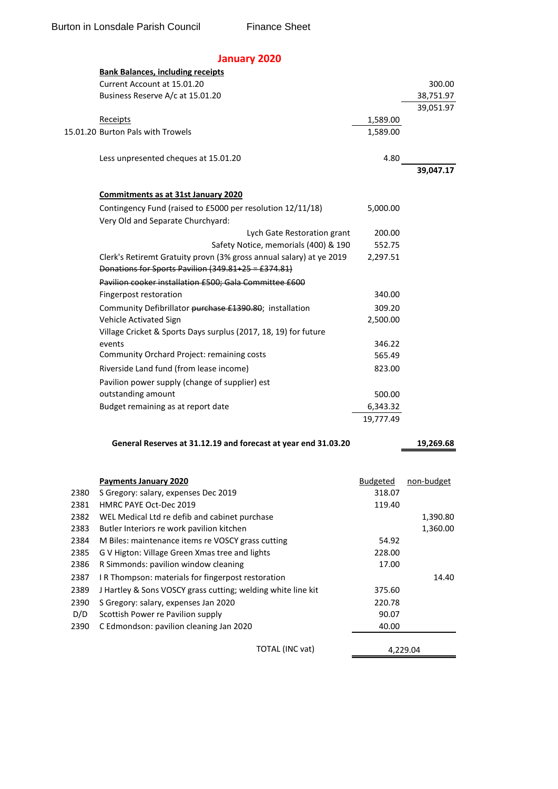## **January 2020**

| Current Account at 15.01.20<br>300.00<br>Business Reserve A/c at 15.01.20<br>38,751.97<br>39,051.97<br>1,589.00<br><b>Receipts</b><br>15.01.20 Burton Pals with Trowels<br>1,589.00<br>Less unpresented cheques at 15.01.20<br>4.80<br>39,047.17<br><b>Commitments as at 31st January 2020</b><br>Contingency Fund (raised to £5000 per resolution 12/11/18)<br>5,000.00<br>Very Old and Separate Churchyard:<br>Lych Gate Restoration grant<br>200.00<br>Safety Notice, memorials (400) & 190<br>552.75<br>Clerk's Retiremt Gratuity provn (3% gross annual salary) at ye 2019<br>2,297.51<br>Donations for Sports Pavilion (349.81+25 = £374.81)<br>Pavilion cooker installation £500; Gala Committee £600<br>Fingerpost restoration<br>340.00<br>Community Defibrillator purchase £1390.80; installation<br>309.20<br>Vehicle Activated Sign<br>2,500.00<br>Village Cricket & Sports Days surplus (2017, 18, 19) for future<br>events<br>346.22<br>Community Orchard Project: remaining costs<br>565.49<br>Riverside Land fund (from lease income)<br>823.00<br>Pavilion power supply (change of supplier) est<br>outstanding amount<br>500.00<br>Budget remaining as at report date<br>6,343.32<br>19,777.49<br>General Reserves at 31.12.19 and forecast at year end 31.03.20<br>19,269.68<br><b>Payments January 2020</b><br>non-budget<br><b>Budgeted</b><br>2380<br>318.07<br>S Gregory: salary, expenses Dec 2019<br>2381<br>HMRC PAYE Oct-Dec 2019<br>119.40<br>WEL Medical Ltd re defib and cabinet purchase<br>2382<br>1,390.80<br>2383<br>Butler Interiors re work pavilion kitchen<br>1,360.00<br>2384<br>M Biles: maintenance items re VOSCY grass cutting<br>54.92<br>G V Higton: Village Green Xmas tree and lights<br>2385<br>228.00<br>2386<br>R Simmonds: pavilion window cleaning<br>17.00<br>IR Thompson: materials for fingerpost restoration<br>2387<br>14.40<br>J Hartley & Sons VOSCY grass cutting; welding white line kit<br>2389<br>375.60<br>2390<br>S Gregory: salary, expenses Jan 2020<br>220.78<br>D/D<br>Scottish Power re Pavilion supply<br>90.07<br>C Edmondson: pavilion cleaning Jan 2020<br>2390<br>40.00 | <b>Bank Balances, including receipts</b> |  |
|----------------------------------------------------------------------------------------------------------------------------------------------------------------------------------------------------------------------------------------------------------------------------------------------------------------------------------------------------------------------------------------------------------------------------------------------------------------------------------------------------------------------------------------------------------------------------------------------------------------------------------------------------------------------------------------------------------------------------------------------------------------------------------------------------------------------------------------------------------------------------------------------------------------------------------------------------------------------------------------------------------------------------------------------------------------------------------------------------------------------------------------------------------------------------------------------------------------------------------------------------------------------------------------------------------------------------------------------------------------------------------------------------------------------------------------------------------------------------------------------------------------------------------------------------------------------------------------------------------------------------------------------------------------------------------------------------------------------------------------------------------------------------------------------------------------------------------------------------------------------------------------------------------------------------------------------------------------------------------------------------------------------------------------------------------------------------------------------------------------------------------------------------|------------------------------------------|--|
|                                                                                                                                                                                                                                                                                                                                                                                                                                                                                                                                                                                                                                                                                                                                                                                                                                                                                                                                                                                                                                                                                                                                                                                                                                                                                                                                                                                                                                                                                                                                                                                                                                                                                                                                                                                                                                                                                                                                                                                                                                                                                                                                                    |                                          |  |
|                                                                                                                                                                                                                                                                                                                                                                                                                                                                                                                                                                                                                                                                                                                                                                                                                                                                                                                                                                                                                                                                                                                                                                                                                                                                                                                                                                                                                                                                                                                                                                                                                                                                                                                                                                                                                                                                                                                                                                                                                                                                                                                                                    |                                          |  |
|                                                                                                                                                                                                                                                                                                                                                                                                                                                                                                                                                                                                                                                                                                                                                                                                                                                                                                                                                                                                                                                                                                                                                                                                                                                                                                                                                                                                                                                                                                                                                                                                                                                                                                                                                                                                                                                                                                                                                                                                                                                                                                                                                    |                                          |  |
|                                                                                                                                                                                                                                                                                                                                                                                                                                                                                                                                                                                                                                                                                                                                                                                                                                                                                                                                                                                                                                                                                                                                                                                                                                                                                                                                                                                                                                                                                                                                                                                                                                                                                                                                                                                                                                                                                                                                                                                                                                                                                                                                                    |                                          |  |
|                                                                                                                                                                                                                                                                                                                                                                                                                                                                                                                                                                                                                                                                                                                                                                                                                                                                                                                                                                                                                                                                                                                                                                                                                                                                                                                                                                                                                                                                                                                                                                                                                                                                                                                                                                                                                                                                                                                                                                                                                                                                                                                                                    |                                          |  |
|                                                                                                                                                                                                                                                                                                                                                                                                                                                                                                                                                                                                                                                                                                                                                                                                                                                                                                                                                                                                                                                                                                                                                                                                                                                                                                                                                                                                                                                                                                                                                                                                                                                                                                                                                                                                                                                                                                                                                                                                                                                                                                                                                    |                                          |  |
|                                                                                                                                                                                                                                                                                                                                                                                                                                                                                                                                                                                                                                                                                                                                                                                                                                                                                                                                                                                                                                                                                                                                                                                                                                                                                                                                                                                                                                                                                                                                                                                                                                                                                                                                                                                                                                                                                                                                                                                                                                                                                                                                                    |                                          |  |
|                                                                                                                                                                                                                                                                                                                                                                                                                                                                                                                                                                                                                                                                                                                                                                                                                                                                                                                                                                                                                                                                                                                                                                                                                                                                                                                                                                                                                                                                                                                                                                                                                                                                                                                                                                                                                                                                                                                                                                                                                                                                                                                                                    |                                          |  |
|                                                                                                                                                                                                                                                                                                                                                                                                                                                                                                                                                                                                                                                                                                                                                                                                                                                                                                                                                                                                                                                                                                                                                                                                                                                                                                                                                                                                                                                                                                                                                                                                                                                                                                                                                                                                                                                                                                                                                                                                                                                                                                                                                    |                                          |  |
|                                                                                                                                                                                                                                                                                                                                                                                                                                                                                                                                                                                                                                                                                                                                                                                                                                                                                                                                                                                                                                                                                                                                                                                                                                                                                                                                                                                                                                                                                                                                                                                                                                                                                                                                                                                                                                                                                                                                                                                                                                                                                                                                                    |                                          |  |
|                                                                                                                                                                                                                                                                                                                                                                                                                                                                                                                                                                                                                                                                                                                                                                                                                                                                                                                                                                                                                                                                                                                                                                                                                                                                                                                                                                                                                                                                                                                                                                                                                                                                                                                                                                                                                                                                                                                                                                                                                                                                                                                                                    |                                          |  |
|                                                                                                                                                                                                                                                                                                                                                                                                                                                                                                                                                                                                                                                                                                                                                                                                                                                                                                                                                                                                                                                                                                                                                                                                                                                                                                                                                                                                                                                                                                                                                                                                                                                                                                                                                                                                                                                                                                                                                                                                                                                                                                                                                    |                                          |  |
|                                                                                                                                                                                                                                                                                                                                                                                                                                                                                                                                                                                                                                                                                                                                                                                                                                                                                                                                                                                                                                                                                                                                                                                                                                                                                                                                                                                                                                                                                                                                                                                                                                                                                                                                                                                                                                                                                                                                                                                                                                                                                                                                                    |                                          |  |
|                                                                                                                                                                                                                                                                                                                                                                                                                                                                                                                                                                                                                                                                                                                                                                                                                                                                                                                                                                                                                                                                                                                                                                                                                                                                                                                                                                                                                                                                                                                                                                                                                                                                                                                                                                                                                                                                                                                                                                                                                                                                                                                                                    |                                          |  |
|                                                                                                                                                                                                                                                                                                                                                                                                                                                                                                                                                                                                                                                                                                                                                                                                                                                                                                                                                                                                                                                                                                                                                                                                                                                                                                                                                                                                                                                                                                                                                                                                                                                                                                                                                                                                                                                                                                                                                                                                                                                                                                                                                    |                                          |  |
|                                                                                                                                                                                                                                                                                                                                                                                                                                                                                                                                                                                                                                                                                                                                                                                                                                                                                                                                                                                                                                                                                                                                                                                                                                                                                                                                                                                                                                                                                                                                                                                                                                                                                                                                                                                                                                                                                                                                                                                                                                                                                                                                                    |                                          |  |
|                                                                                                                                                                                                                                                                                                                                                                                                                                                                                                                                                                                                                                                                                                                                                                                                                                                                                                                                                                                                                                                                                                                                                                                                                                                                                                                                                                                                                                                                                                                                                                                                                                                                                                                                                                                                                                                                                                                                                                                                                                                                                                                                                    |                                          |  |
|                                                                                                                                                                                                                                                                                                                                                                                                                                                                                                                                                                                                                                                                                                                                                                                                                                                                                                                                                                                                                                                                                                                                                                                                                                                                                                                                                                                                                                                                                                                                                                                                                                                                                                                                                                                                                                                                                                                                                                                                                                                                                                                                                    |                                          |  |
|                                                                                                                                                                                                                                                                                                                                                                                                                                                                                                                                                                                                                                                                                                                                                                                                                                                                                                                                                                                                                                                                                                                                                                                                                                                                                                                                                                                                                                                                                                                                                                                                                                                                                                                                                                                                                                                                                                                                                                                                                                                                                                                                                    |                                          |  |
|                                                                                                                                                                                                                                                                                                                                                                                                                                                                                                                                                                                                                                                                                                                                                                                                                                                                                                                                                                                                                                                                                                                                                                                                                                                                                                                                                                                                                                                                                                                                                                                                                                                                                                                                                                                                                                                                                                                                                                                                                                                                                                                                                    |                                          |  |
|                                                                                                                                                                                                                                                                                                                                                                                                                                                                                                                                                                                                                                                                                                                                                                                                                                                                                                                                                                                                                                                                                                                                                                                                                                                                                                                                                                                                                                                                                                                                                                                                                                                                                                                                                                                                                                                                                                                                                                                                                                                                                                                                                    |                                          |  |
|                                                                                                                                                                                                                                                                                                                                                                                                                                                                                                                                                                                                                                                                                                                                                                                                                                                                                                                                                                                                                                                                                                                                                                                                                                                                                                                                                                                                                                                                                                                                                                                                                                                                                                                                                                                                                                                                                                                                                                                                                                                                                                                                                    |                                          |  |
|                                                                                                                                                                                                                                                                                                                                                                                                                                                                                                                                                                                                                                                                                                                                                                                                                                                                                                                                                                                                                                                                                                                                                                                                                                                                                                                                                                                                                                                                                                                                                                                                                                                                                                                                                                                                                                                                                                                                                                                                                                                                                                                                                    |                                          |  |
|                                                                                                                                                                                                                                                                                                                                                                                                                                                                                                                                                                                                                                                                                                                                                                                                                                                                                                                                                                                                                                                                                                                                                                                                                                                                                                                                                                                                                                                                                                                                                                                                                                                                                                                                                                                                                                                                                                                                                                                                                                                                                                                                                    |                                          |  |
|                                                                                                                                                                                                                                                                                                                                                                                                                                                                                                                                                                                                                                                                                                                                                                                                                                                                                                                                                                                                                                                                                                                                                                                                                                                                                                                                                                                                                                                                                                                                                                                                                                                                                                                                                                                                                                                                                                                                                                                                                                                                                                                                                    |                                          |  |
|                                                                                                                                                                                                                                                                                                                                                                                                                                                                                                                                                                                                                                                                                                                                                                                                                                                                                                                                                                                                                                                                                                                                                                                                                                                                                                                                                                                                                                                                                                                                                                                                                                                                                                                                                                                                                                                                                                                                                                                                                                                                                                                                                    |                                          |  |
|                                                                                                                                                                                                                                                                                                                                                                                                                                                                                                                                                                                                                                                                                                                                                                                                                                                                                                                                                                                                                                                                                                                                                                                                                                                                                                                                                                                                                                                                                                                                                                                                                                                                                                                                                                                                                                                                                                                                                                                                                                                                                                                                                    |                                          |  |
|                                                                                                                                                                                                                                                                                                                                                                                                                                                                                                                                                                                                                                                                                                                                                                                                                                                                                                                                                                                                                                                                                                                                                                                                                                                                                                                                                                                                                                                                                                                                                                                                                                                                                                                                                                                                                                                                                                                                                                                                                                                                                                                                                    |                                          |  |
|                                                                                                                                                                                                                                                                                                                                                                                                                                                                                                                                                                                                                                                                                                                                                                                                                                                                                                                                                                                                                                                                                                                                                                                                                                                                                                                                                                                                                                                                                                                                                                                                                                                                                                                                                                                                                                                                                                                                                                                                                                                                                                                                                    |                                          |  |
|                                                                                                                                                                                                                                                                                                                                                                                                                                                                                                                                                                                                                                                                                                                                                                                                                                                                                                                                                                                                                                                                                                                                                                                                                                                                                                                                                                                                                                                                                                                                                                                                                                                                                                                                                                                                                                                                                                                                                                                                                                                                                                                                                    |                                          |  |
|                                                                                                                                                                                                                                                                                                                                                                                                                                                                                                                                                                                                                                                                                                                                                                                                                                                                                                                                                                                                                                                                                                                                                                                                                                                                                                                                                                                                                                                                                                                                                                                                                                                                                                                                                                                                                                                                                                                                                                                                                                                                                                                                                    |                                          |  |
|                                                                                                                                                                                                                                                                                                                                                                                                                                                                                                                                                                                                                                                                                                                                                                                                                                                                                                                                                                                                                                                                                                                                                                                                                                                                                                                                                                                                                                                                                                                                                                                                                                                                                                                                                                                                                                                                                                                                                                                                                                                                                                                                                    |                                          |  |
|                                                                                                                                                                                                                                                                                                                                                                                                                                                                                                                                                                                                                                                                                                                                                                                                                                                                                                                                                                                                                                                                                                                                                                                                                                                                                                                                                                                                                                                                                                                                                                                                                                                                                                                                                                                                                                                                                                                                                                                                                                                                                                                                                    |                                          |  |
|                                                                                                                                                                                                                                                                                                                                                                                                                                                                                                                                                                                                                                                                                                                                                                                                                                                                                                                                                                                                                                                                                                                                                                                                                                                                                                                                                                                                                                                                                                                                                                                                                                                                                                                                                                                                                                                                                                                                                                                                                                                                                                                                                    |                                          |  |
|                                                                                                                                                                                                                                                                                                                                                                                                                                                                                                                                                                                                                                                                                                                                                                                                                                                                                                                                                                                                                                                                                                                                                                                                                                                                                                                                                                                                                                                                                                                                                                                                                                                                                                                                                                                                                                                                                                                                                                                                                                                                                                                                                    |                                          |  |
|                                                                                                                                                                                                                                                                                                                                                                                                                                                                                                                                                                                                                                                                                                                                                                                                                                                                                                                                                                                                                                                                                                                                                                                                                                                                                                                                                                                                                                                                                                                                                                                                                                                                                                                                                                                                                                                                                                                                                                                                                                                                                                                                                    |                                          |  |
|                                                                                                                                                                                                                                                                                                                                                                                                                                                                                                                                                                                                                                                                                                                                                                                                                                                                                                                                                                                                                                                                                                                                                                                                                                                                                                                                                                                                                                                                                                                                                                                                                                                                                                                                                                                                                                                                                                                                                                                                                                                                                                                                                    |                                          |  |
|                                                                                                                                                                                                                                                                                                                                                                                                                                                                                                                                                                                                                                                                                                                                                                                                                                                                                                                                                                                                                                                                                                                                                                                                                                                                                                                                                                                                                                                                                                                                                                                                                                                                                                                                                                                                                                                                                                                                                                                                                                                                                                                                                    |                                          |  |
|                                                                                                                                                                                                                                                                                                                                                                                                                                                                                                                                                                                                                                                                                                                                                                                                                                                                                                                                                                                                                                                                                                                                                                                                                                                                                                                                                                                                                                                                                                                                                                                                                                                                                                                                                                                                                                                                                                                                                                                                                                                                                                                                                    |                                          |  |
|                                                                                                                                                                                                                                                                                                                                                                                                                                                                                                                                                                                                                                                                                                                                                                                                                                                                                                                                                                                                                                                                                                                                                                                                                                                                                                                                                                                                                                                                                                                                                                                                                                                                                                                                                                                                                                                                                                                                                                                                                                                                                                                                                    |                                          |  |
|                                                                                                                                                                                                                                                                                                                                                                                                                                                                                                                                                                                                                                                                                                                                                                                                                                                                                                                                                                                                                                                                                                                                                                                                                                                                                                                                                                                                                                                                                                                                                                                                                                                                                                                                                                                                                                                                                                                                                                                                                                                                                                                                                    |                                          |  |
|                                                                                                                                                                                                                                                                                                                                                                                                                                                                                                                                                                                                                                                                                                                                                                                                                                                                                                                                                                                                                                                                                                                                                                                                                                                                                                                                                                                                                                                                                                                                                                                                                                                                                                                                                                                                                                                                                                                                                                                                                                                                                                                                                    |                                          |  |
|                                                                                                                                                                                                                                                                                                                                                                                                                                                                                                                                                                                                                                                                                                                                                                                                                                                                                                                                                                                                                                                                                                                                                                                                                                                                                                                                                                                                                                                                                                                                                                                                                                                                                                                                                                                                                                                                                                                                                                                                                                                                                                                                                    |                                          |  |
|                                                                                                                                                                                                                                                                                                                                                                                                                                                                                                                                                                                                                                                                                                                                                                                                                                                                                                                                                                                                                                                                                                                                                                                                                                                                                                                                                                                                                                                                                                                                                                                                                                                                                                                                                                                                                                                                                                                                                                                                                                                                                                                                                    |                                          |  |
|                                                                                                                                                                                                                                                                                                                                                                                                                                                                                                                                                                                                                                                                                                                                                                                                                                                                                                                                                                                                                                                                                                                                                                                                                                                                                                                                                                                                                                                                                                                                                                                                                                                                                                                                                                                                                                                                                                                                                                                                                                                                                                                                                    |                                          |  |
|                                                                                                                                                                                                                                                                                                                                                                                                                                                                                                                                                                                                                                                                                                                                                                                                                                                                                                                                                                                                                                                                                                                                                                                                                                                                                                                                                                                                                                                                                                                                                                                                                                                                                                                                                                                                                                                                                                                                                                                                                                                                                                                                                    |                                          |  |

TOTAL (INC vat)

4,229.04